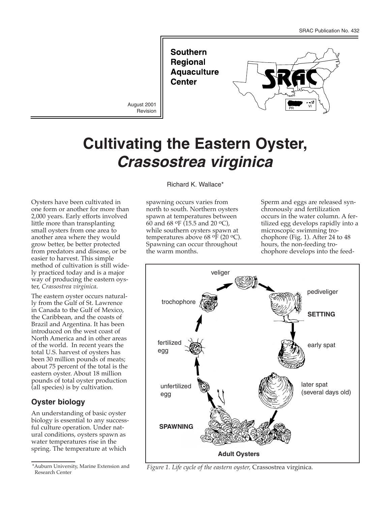**Southern Regional Aquaculture Center** 

Revision



# **Cultivating the Eastern Oyster,** *Crassostrea virginica*

Oysters have been cultivated in one form or another for more than 2,000 years. Early efforts involved little more than transplanting small oysters from one area to another area where they would grow better, be better protected from predators and disease, or be easier to harvest. This simple method of cultivation is still widely practiced today and is a major way of producing the eastern oyster, *Crassostrea virginica*.

The eastern oyster occurs naturally from the Gulf of St. Lawrence in Canada to the Gulf of Mexico, the Caribbean, and the coasts of Brazil and Argentina. It has been introduced on the west coast of North America and in other areas of the world. In recent years the total U.S. harvest of oysters has been 30 million pounds of meats; about 75 percent of the total is the eastern oyster. About 18 million pounds of total oyster production (all species) is by cultivation.

# **Oyster biology**

An understanding of basic oyster biology is essential to any successful culture operation. Under natural conditions, oysters spawn as water temperatures rise in the spring. The temperature at which

Richard K. Wallace\*

spawning occurs varies from north to south. Northern oysters spawn at temperatures between 60 and 68  $\text{OF}$  (15.5 and 20  $\text{OC}$ ), while southern oysters spawn at temperatures above 68  $\mathrm{^{\mathrm{o}F}}$  (20  $\mathrm{^{\mathrm{o}C}}$ ). Spawning can occur throughout the warm months.

Sperm and eggs are released synchronously and fertilization occurs in the water column. A fertilized egg develops rapidly into a microscopic swimming trochophore (Fig. 1). After 24 to 48 hours, the non-feeding trochophore develops into the feed-



*Figure 1. Life cycle of the eastern oyster,* Crassostrea virginica*.*

<sup>\*</sup>Auburn University, Marine Extension and Research Center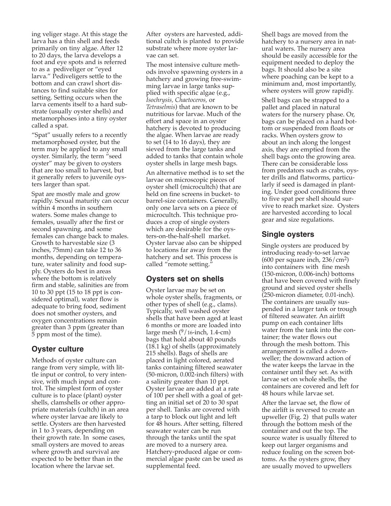ing veliger stage. At this stage the larva has a thin shell and feeds primarily on tiny algae. After 12 to 20 days, the larva develops a foot and eye spots and is referred to as a pediveliger or "eyed larva." Pediveligers settle to the bottom and can crawl short distances to find suitable sites for setting. Setting occurs when the larva cements itself to a hard substrate (usually oyster shells) and metamorphoses into a tiny oyster called a spat.

"Spat" usually refers to a recently metamorphosed oyster, but the term may be applied to any small oyster. Similarly, the term "seed oyster" may be given to oysters that are too small to harvest, but it generally refers to juvenile oysters larger than spat.

Spat are mostly male and grow rapidly. Sexual maturity can occur within 4 months in southern waters. Some males change to females, usually after the first or second spawning, and some females can change back to males. Growth to harvestable size (3 inches, 75mm) can take 12 to 36 months, depending on temperature, water salinity and food supply. Oysters do best in areas where the bottom is relatively firm and stable, salinities are from 10 to 30 ppt (15 to 18 ppt is considered optimal), water flow is adequate to bring food, sediment does not smother oysters, and oxygen concentrations remain greater than 3 ppm (greater than 5 ppm most of the time).

## **Oyster culture**

Methods of oyster culture can range from very simple, with little input or control, to very intensive, with much input and control. The simplest form of oyster culture is to place (plant) oyster shells, clamshells or other appropriate materials (cultch) in an area where oyster larvae are likely to settle. Oysters are then harvested in 1 to 3 years, depending on their growth rate. In some cases, small oysters are moved to areas where growth and survival are expected to be better than in the location where the larvae set.

After oysters are harvested, additional cultch is planted to provide substrate where more oyster larvae can set.

The most intensive culture methods involve spawning oysters in a hatchery and growing free-swimming larvae in large tanks supplied with specific algae (e.g., *Isochrysis, Chaetoceros,* or *Tetraselmis*) that are known to be nutritious for larvae. Much of the effort and space in an oyster hatchery is devoted to producing the algae. When larvae are ready to set (14 to 16 days), they are sieved from the large tanks and added to tanks that contain whole oyster shells in large mesh bags.

An alternative method is to set the larvae on microscopic pieces of oyster shell (microcultch) that are held on fine screens in bucket- to barrel-size containers. Generally, only one larva sets on a piece of microcultch. This technique produces a crop of single oysters which are desirable for the oysters-on-the-half-shell market. Oyster larvae also can be shipped to locations far away from the hatchery and set. This process is called "remote setting."

## **Oysters set on shells**

Oyster larvae may be set on whole oyster shells, fragments, or other types of shell (e.g., clams). Typically, well washed oyster shells that have been aged at least 6 months or more are loaded into large mesh  $(^9/16$ -inch, 1.4-cm) bags that hold about 40 pounds (18.1 kg) of shells (approximately 215 shells). Bags of shells are placed in light colored, aerated tanks containing filtered seawater (50-micron, 0.002-inch filters) with a salinity greater than 10 ppt. Oyster larvae are added at a rate of 100 per shell with a goal of getting an initial set of 20 to 30 spat per shell. Tanks are covered with a tarp to block out light and left for 48 hours. After setting, filtered seawater water can be run through the tanks until the spat are moved to a nursery area. Hatchery-produced algae or commercial algae paste can be used as supplemental feed.

Shell bags are moved from the hatchery to a nursery area in natural waters. The nursery area should be easily accessible for the equipment needed to deploy the bags. It should also be a site where poaching can be kept to a minimum and, most importantly, where oysters will grow rapidly.

Shell bags can be strapped to a pallet and placed in natural waters for the nursery phase. Or, bags can be placed on a hard bottom or suspended from floats or racks. When oysters grow to about an inch along the longest axis, they are emptied from the shell bags onto the growing area. There can be considerable loss from predators such as crabs, oyster drills and flatworms, particularly if seed is damaged in planting. Under good conditions three to five spat per shell should survive to reach market size. Oysters are harvested according to local gear and size regulations.

## **Single oysters**

Single oysters are produced by introducing ready-to-set larvae  $(600 \text{ per square inch}, 236/\text{cm}^2)$ into containers with fine mesh (150-micron, 0.006-inch) bottoms that have been covered with finely ground and sieved oyster shells (250-micron diameter, 0.01-inch). The containers are usually suspended in a larger tank or trough of filtered seawater. An airlift pump on each container lifts water from the tank into the container; the water flows out through the mesh bottom. This arrangement is called a downweller; the downward action of the water keeps the larvae in the container until they set. As with larvae set on whole shells, the containers are covered and left for 48 hours while larvae set.

After the larvae set, the flow of the airlift is reversed to create an upweller (Fig. 2) that pulls water through the bottom mesh of the container and out the top. The source water is usually filtered to keep out larger organisms and reduce fouling on the screen bottoms. As the oysters grow, they are usually moved to upwellers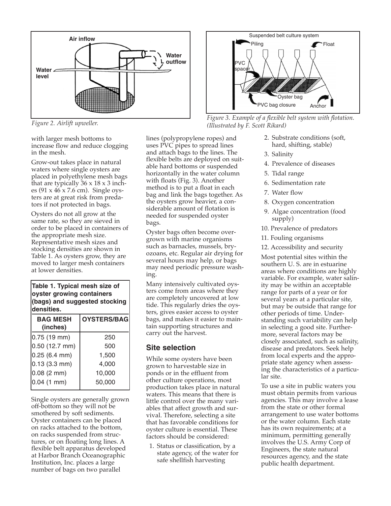

*Figure 2. Airlift upweller.*

with larger mesh bottoms to increase flow and reduce clogging in the mesh.

Grow-out takes place in natural waters where single oysters are placed in polyethylene mesh bags that are typically  $36 \times 18 \times 3$  inches (91 x 46 x 7.6 cm). Single oysters are at great risk from predators if not protected in bags.

Oysters do not all grow at the same rate, so they are sieved in order to be placed in containers of the appropriate mesh size. Representative mesh sizes and stocking densities are shown in Table 1. As oysters grow, they are moved to larger mesh containers at lower densities.

#### **Table 1. Typical mesh size of oyster growing containers (bags) and suggested stocking densities.**

| <b>BAG MESH</b><br>(inches) | OYSTERS/BAG |
|-----------------------------|-------------|
| $0.75(19$ mm)               | 250         |
| 0.50 (12.7 mm)              | 500         |
| 0.25 (6.4 mm)               | 1,500       |
| $0.13(3.3 \text{ mm})$      | 4,000       |
| $0.08(2 \text{ mm})$        | 10,000      |
| 0.04(1 mm)                  | 50,000      |
|                             |             |

Single oysters are generally grown off-bottom so they will not be smothered by soft sediments. Oyster containers can be placed on racks attached to the bottom, on racks suspended from structures, or on floating long lines. A flexible belt apparatus developed at Harbor Branch Oceanographic Institution, Inc. places a large number of bags on two parallel

lines (polypropylene ropes) and uses PVC pipes to spread lines and attach bags to the lines. The flexible belts are deployed on suitable hard bottoms or suspended horizontally in the water column with floats (Fig. 3). Another method is to put a float in each bag and link the bags together. As the oysters grow heavier, a considerable amount of flotation is needed for suspended oyster bags.

Oyster bags often become overgrown with marine organisms such as barnacles, mussels, bryozoans, etc. Regular air drying for several hours may help, or bags may need periodic pressure washing.

Many intensively cultivated oysters come from areas where they are completely uncovered at low tide. This regularly dries the oysters, gives easier access to oyster bags, and makes it easier to maintain supporting structures and carry out the harvest.

#### **Site selection**

While some oysters have been grown to harvestable size in ponds or in the effluent from other culture operations, most production takes place in natural waters. This means that there is little control over the many variables that affect growth and survival. Therefore, selecting a site that has favorable conditions for oyster culture is essential. These factors should be considered:

1. Status or classification, by a state agency, of the water for safe shellfish harvesting



*Figure 3. Example of a flexible belt system with flotation. (Illustrated by F. Scott Rikard)*

- 2. Substrate conditions (soft, hard, shifting, stable)
- 3. Salinity
- 4. Prevalence of diseases
- 5. Tidal range
- 6. Sedimentation rate
- 7. Water flow
- 8. Oxygen concentration
- 9. Algae concentration (food supply)
- 10. Prevalence of predators
- 11. Fouling organisms
- 12. Accessibility and security

Most potential sites within the southern U. S. are in estuarine areas where conditions are highly variable. For example, water salinity may be within an acceptable range for parts of a year or for several years at a particular site, but may be outside that range for other periods of time. Understanding such variability can help in selecting a good site. Furthermore, several factors may be closely associated, such as salinity, disease and predators. Seek help from local experts and the appropriate state agency when assessing the characteristics of a particular site.

To use a site in public waters you must obtain permits from various agencies. This may involve a lease from the state or other formal arrangement to use water bottoms or the water column. Each state has its own requirements; at a minimum, permitting generally involves the U.S. Army Corp of Engineers, the state natural resources agency, and the state public health department.